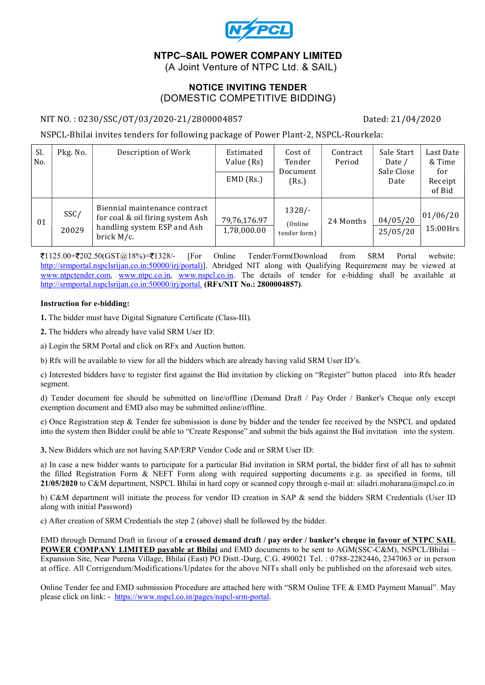

# NTPC–SAIL POWER COMPANY LIMITED

(A Joint Venture of NTPC Ltd. & SAIL)

#### NOTICE INVITING TENDER (DOMESTIC COMPETITIVE BIDDING)

#### NIT NO. : 0230/SSC/OT/03/2020-21/2800004857 Dated: 21/04/2020

NSPCL-Bhilai invites tenders for following package of Power Plant-2, NSPCL-Rourkela:

| Sl.<br>No. | Pkg. No.      | Description of Work                                                                                            | Estimated<br>Value (Rs)<br>$EMD$ (Rs.) | Cost of<br>Tender<br>Document<br>(Rs.) | Contract<br>Period | Sale Start<br>Date /<br>Sale Close<br>Date | Last Date<br>& Time<br>for<br>Receipt<br>of Bid |
|------------|---------------|----------------------------------------------------------------------------------------------------------------|----------------------------------------|----------------------------------------|--------------------|--------------------------------------------|-------------------------------------------------|
| 01         | SSC/<br>20029 | Biennial maintenance contract<br>for coal & oil firing system Ash<br>handling system ESP and Ash<br>brick M/c. | 79,76,176.97<br>1,78,000.00            | $1328/-$<br>(Online)<br>tender form)   | 24 Months          | 04/05/20<br>25/05/20                       | 01/06/20<br>$15:00$ Hrs                         |

 $\mathcal{F}1125.00+\mathcal{F}202.50(GST@18%)=\mathcal{F}1328/-\text{ [For Online Tender/Form(Download from SRM Portal website]}$ http://srmportal.nspclsrijan.co.in:50000/irj/portal)]. Abridged NIT along with Qualifying Requirement may be viewed at www.ntpctender.com, www.ntpc.co.in, www.nspcl.co.in. The details of tender for e-bidding shall be available at http://srmportal.nspclsrijan.co.in:50000/irj/portal. (RFx/NIT No.: 2800004857).

#### Instruction for e-bidding:

1. The bidder must have Digital Signature Certificate (Class-III).

2. The bidders who already have valid SRM User ID:

a) Login the SRM Portal and click on RFx and Auction button.

b) Rfx will be available to view for all the bidders which are already having valid SRM User ID's.

c) Interested bidders have to register first against the Bid invitation by clicking on "Register" button placed into Rfx header segment.

d) Tender document fee should be submitted on line/offline (Demand Draft / Pay Order / Banker's Cheque only except exemption document and EMD also may be submitted online/offline.

e) Once Registration step & Tender fee submission is done by bidder and the tender fee received by the NSPCL and updated into the system then Bidder could be able to "Create Response" and submit the bids against the Bid invitation into the system.

3. New Bidders which are not having SAP/ERP Vendor Code and or SRM User ID:

a) In case a new bidder wants to participate for a particular Bid invitation in SRM portal, the bidder first of all has to submit the filled Registration Form & NEFT Form along with required supporting documents e.g. as specified in forms, till 21/05/2020 to C&M department, NSPCL Bhilai in hard copy or scanned copy through e-mail at: siladri.moharana@nspcl.co.in

b) C&M department will initiate the process for vendor ID creation in SAP & send the bidders SRM Credentials (User ID along with initial Password)

c) After creation of SRM Credentials the step 2 (above) shall be followed by the bidder.

EMD through Demand Draft in favour of a crossed demand draft / pay order / banker's cheque in favour of NTPC SAIL POWER COMPANY LIMITED payable at Bhilai and EMD documents to be sent to AGM(SSC-C&M), NSPCL/Bhilai – Expansion Site, Near Purena Village, Bhilai (East) PO Distt.-Durg, C.G. 490021 Tel. : 0788-2282446, 2347063 or in person at office. All Corrigendum/Modifications/Updates for the above NITs shall only be published on the aforesaid web sites.

Online Tender fee and EMD submission Procedure are attached here with "SRM Online TFE & EMD Payment Manual". May please click on link: - https://www.nspcl.co.in/pages/nspcl-srm-portal.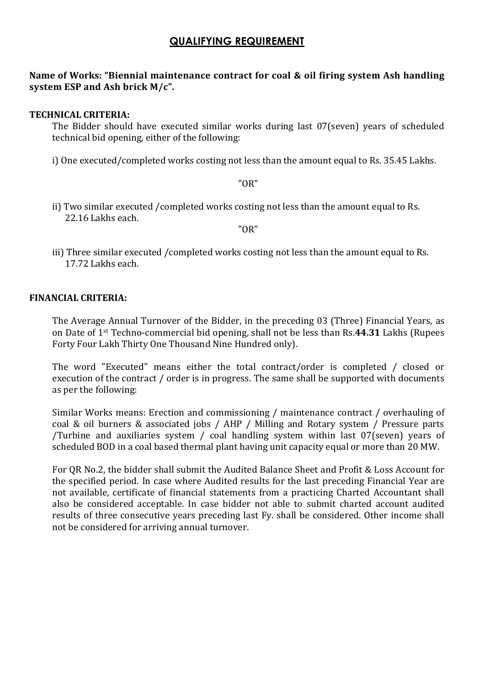# QUALIFYING REQUIREMENT

## Name of Works: "Biennial maintenance contract for coal & oil firing system Ash handling system ESP and Ash brick M/c".

### TECHNICAL CRITERIA:

The Bidder should have executed similar works during last 07(seven) years of scheduled technical bid opening, either of the following:

i) One executed/completed works costing not less than the amount equal to Rs. 35.45 Lakhs.

"OR"

ii) Two similar executed /completed works costing not less than the amount equal to Rs. 22.16 Lakhs each.

"OR"

iii) Three similar executed /completed works costing not less than the amount equal to Rs. 17.72 Lakhs each.

#### FINANCIAL CRITERIA:

The Average Annual Turnover of the Bidder, in the preceding 03 (Three) Financial Years, as on Date of 1st Techno-commercial bid opening, shall not be less than Rs.44.31 Lakhs (Rupees Forty Four Lakh Thirty One Thousand Nine Hundred only).

The word "Executed" means either the total contract/order is completed / closed or execution of the contract / order is in progress. The same shall be supported with documents as per the following:

Similar Works means: Erection and commissioning / maintenance contract / overhauling of coal & oil burners & associated jobs / AHP / Milling and Rotary system / Pressure parts /Turbine and auxiliaries system / coal handling system within last 07(seven) years of scheduled BOD in a coal based thermal plant having unit capacity equal or more than 20 MW.

For QR No.2, the bidder shall submit the Audited Balance Sheet and Profit & Loss Account for the specified period. In case where Audited results for the last preceding Financial Year are not available, certificate of financial statements from a practicing Charted Accountant shall also be considered acceptable. In case bidder not able to submit charted account audited results of three consecutive years preceding last Fy. shall be considered. Other income shall not be considered for arriving annual turnover.